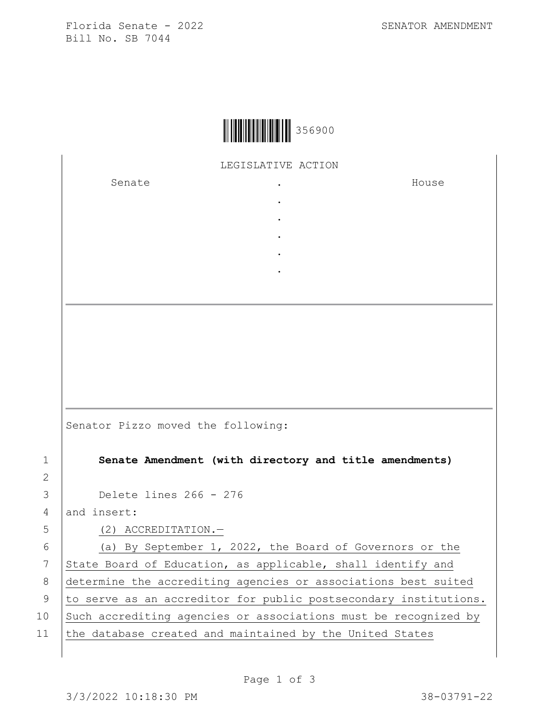Florida Senate - 2022 SENATOR AMENDMENT Bill No. SB 7044



LEGISLATIVE ACTION

. . . . .

Senate the senate of the senate  $\cdot$ 

House

Senator Pizzo moved the following:

1 **Senate Amendment (with directory and title amendments)**

3 Delete lines 266 - 276

4 and insert:

2

5 (2) ACCREDITATION.—

6 (a) By September 1, 2022, the Board of Governors or the 7 State Board of Education, as applicable, shall identify and 8 determine the accrediting agencies or associations best suited 9 to serve as an accreditor for public postsecondary institutions. 10 Such accrediting agencies or associations must be recognized by 11 the database created and maintained by the United States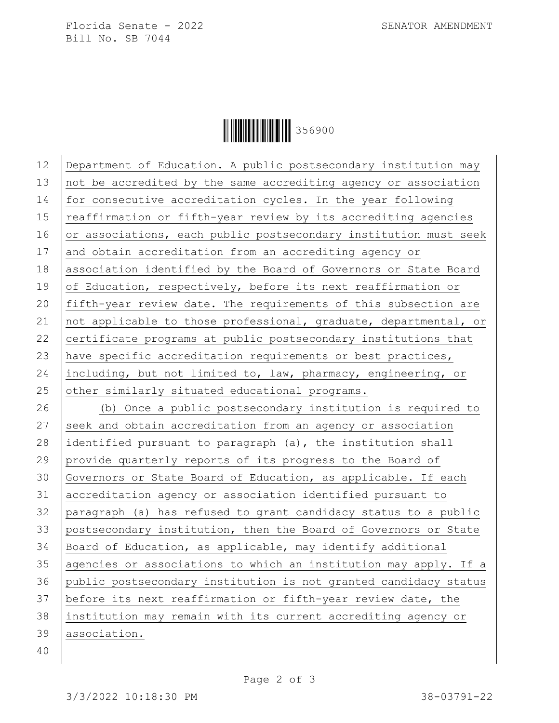Florida Senate - 2022 SENATOR AMENDMENT Bill No. SB 7044



| 12 | Department of Education. A public postsecondary institution may  |
|----|------------------------------------------------------------------|
| 13 | not be accredited by the same accrediting agency or association  |
| 14 | for consecutive accreditation cycles. In the year following      |
| 15 | reaffirmation or fifth-year review by its accrediting agencies   |
| 16 | or associations, each public postsecondary institution must seek |
| 17 | and obtain accreditation from an accrediting agency or           |
| 18 | association identified by the Board of Governors or State Board  |
| 19 | of Education, respectively, before its next reaffirmation or     |
| 20 | fifth-year review date. The requirements of this subsection are  |
| 21 | not applicable to those professional, graduate, departmental, or |
| 22 | certificate programs at public postsecondary institutions that   |
| 23 | have specific accreditation requirements or best practices,      |
| 24 | including, but not limited to, law, pharmacy, engineering, or    |
| 25 | other similarly situated educational programs.                   |
| 26 | (b) Once a public postsecondary institution is required to       |
| 27 | seek and obtain accreditation from an agency or association      |
| 28 | identified pursuant to paragraph (a), the institution shall      |
| 29 | provide quarterly reports of its progress to the Board of        |
| 30 | Governors or State Board of Education, as applicable. If each    |
| 31 | accreditation agency or association identified pursuant to       |
| 32 | paragraph (a) has refused to grant candidacy status to a public  |
| 33 | postsecondary institution, then the Board of Governors or State  |
| 34 | Board of Education, as applicable, may identify additional       |
| 35 | agencies or associations to which an institution may apply. If a |
| 36 | public postsecondary institution is not granted candidacy status |
| 37 | before its next reaffirmation or fifth-year review date, the     |
| 38 | institution may remain with its current accrediting agency or    |
| 39 | association.                                                     |
| 40 |                                                                  |